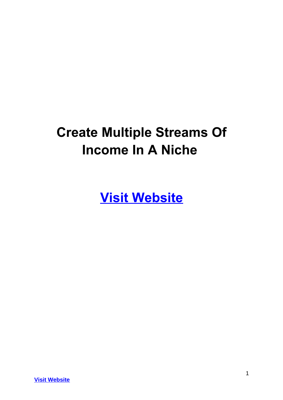# **Create Multiple Streams Of Income In A Niche**

**[Visit Website](http://replug.link/f7ab3460/)**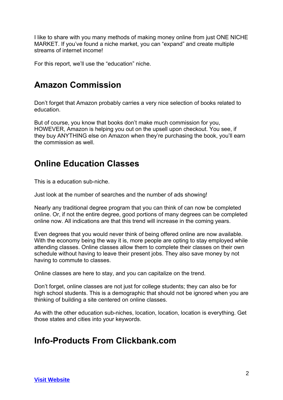I like to share with you many methods of making money online from just ONE NICHE MARKET. If you've found a niche market, you can "expand" and create multiple streams of internet income!

For this report, we'll use the "education" niche.

#### **Amazon Commission**

Don't forget that Amazon probably carries a very nice selection of books related to education.

But of course, you know that books don't make much commission for you, HOWEVER, Amazon is helping you out on the upsell upon checkout. You see, if they buy ANYTHING else on Amazon when they're purchasing the book, you'll earn the commission as well.

#### **Online Education Classes**

This is a education sub-niche.

Just look at the number of searches and the number of ads showing!

Nearly any traditional degree program that you can think of can now be completed online. Or, if not the entire degree, good portions of many degrees can be completed online now. All indications are that this trend will increase in the coming years.

Even degrees that you would never think of being offered online are now available. With the economy being the way it is, more people are opting to stay employed while attending classes. Online classes allow them to complete their classes on their own schedule without having to leave their present jobs. They also save money by not having to commute to classes.

Online classes are here to stay, and you can capitalize on the trend.

Don't forget, online classes are not just for college students; they can also be for high school students. This is a demographic that should not be ignored when you are thinking of building a site centered on online classes.

As with the other education sub-niches, location, location, location is everything. Get those states and cities into your keywords.

#### **Info-Products From Clickbank.com**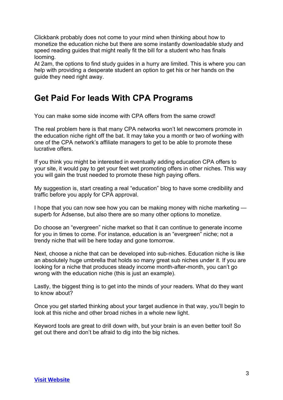Clickbank probably does not come to your mind when thinking about how to monetize the education niche but there are some instantly downloadable study and speed reading guides that might really fit the bill for a student who has finals looming.

At 2am, the options to find study guides in a hurry are limited. This is where you can help with providing a desperate student an option to get his or her hands on the guide they need right away.

#### **Get Paid For leads With CPA Programs**

You can make some side income with CPA offers from the same crowd!

The real problem here is that many CPA networks won't let newcomers promote in the education niche right off the bat. It may take you a month or two of working with one of the CPA network's affiliate managers to get to be able to promote these lucrative offers.

If you think you might be interested in eventually adding education CPA offers to your site, it would pay to get your feet wet promoting offers in other niches. This way you will gain the trust needed to promote these high paying offers.

My suggestion is, start creating a real "education" blog to have some credibility and traffic before you apply for CPA approval.

I hope that you can now see how you can be making money with niche marketing superb for Adsense, but also there are so many other options to monetize.

Do choose an "evergreen" niche market so that it can continue to generate income for you in times to come. For instance, education is an "evergreen" niche; not a trendy niche that will be here today and gone tomorrow.

Next, choose a niche that can be developed into sub-niches. Education niche is like an absolutely huge umbrella that holds so many great sub niches under it. If you are looking for a niche that produces steady income month-after-month, you can't go wrong with the education niche (this is just an example).

Lastly, the biggest thing is to get into the minds of your readers. What do they want to know about?

Once you get started thinking about your target audience in that way, you'll begin to look at this niche and other broad niches in a whole new light.

Keyword tools are great to drill down with, but your brain is an even better tool! So get out there and don't be afraid to dig into the big niches.